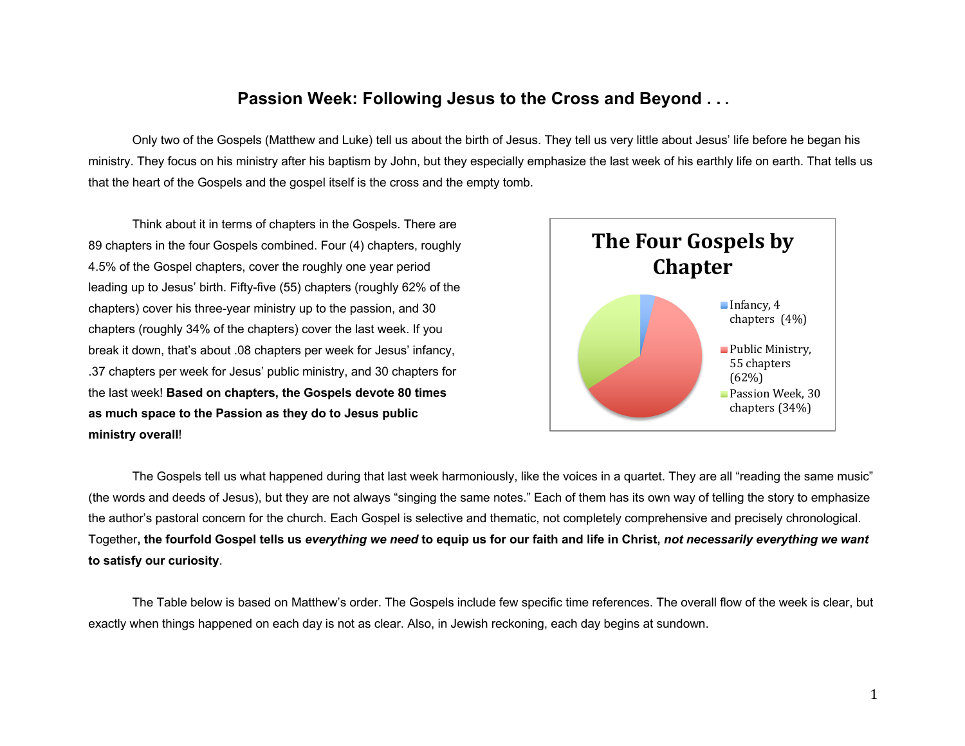## **Passion Week: Following Jesus to the Cross and Beyond . . .**

Only two of the Gospels (Matthew and Luke) tell us about the birth of Jesus. They tell us very little about Jesus' life before he began his ministry. They focus on his ministry after his baptism by John, but they especially emphasize the last week of his earthly life on earth. That tells us that the heart of the Gospels and the gospel itself is the cross and the empty tomb.

Think about it in terms of chapters in the Gospels. There are 89 chapters in the four Gospels combined. Four (4) chapters, roughly 4.5% of the Gospel chapters, cover the roughly one year period leading up to Jesus' birth. Fifty-five (55) chapters (roughly 62% of the chapters) cover his three-year ministry up to the passion, and 30 chapters (roughly 34% of the chapters) cover the last week. If you break it down, that's about .08 chapters per week for Jesus' infancy, .37 chapters per week for Jesus' public ministry, and 30 chapters for the last week! **Based on chapters, the Gospels devote 80 times as much space to the Passion as they do to Jesus public ministry overall**!



The Gospels tell us what happened during that last week harmoniously, like the voices in a quartet. They are all "reading the same music" (the words and deeds of Jesus), but they are not always "singing the same notes." Each of them has its own way of telling the story to emphasize the author's pastoral concern for the church. Each Gospel is selective and thematic, not completely comprehensive and precisely chronological. Together**, the fourfold Gospel tells us** *everything we need* **to equip us for our faith and life in Christ,** *not necessarily everything we want* **to satisfy our curiosity**.

The Table below is based on Matthew's order. The Gospels include few specific time references. The overall flow of the week is clear, but exactly when things happened on each day is not as clear. Also, in Jewish reckoning, each day begins at sundown.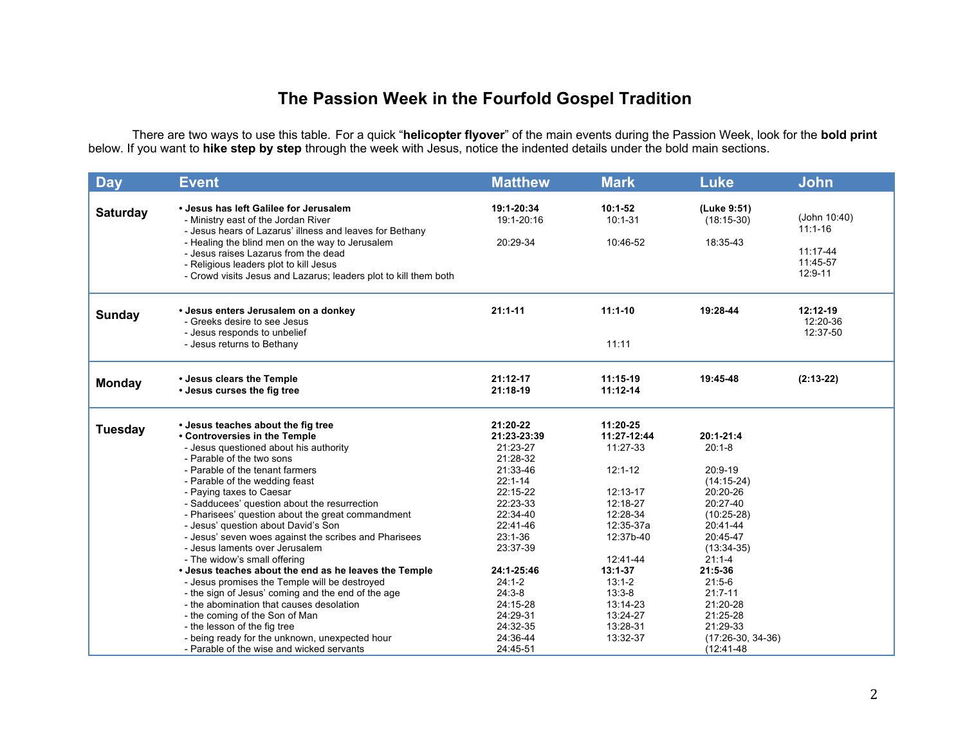## **The Passion Week in the Fourfold Gospel Tradition**

There are two ways to use this table. For a quick "**helicopter flyover**" of the main events during the Passion Week, look for the **bold print** below. If you want to **hike step by step** through the week with Jesus, notice the indented details under the bold main sections.

| <b>Day</b>      | <b>Event</b>                                                                                                                                                                                                                                                                                                                                                                                                                                                                                                                                                                                                                                                                                                                                                                                                                                                                                    | <b>Matthew</b>                                                                                                                                                                                                                                            | <b>Mark</b>                                                                                                                                                                                                           | <b>Luke</b>                                                                                                                                                                                                                                                             | <b>John</b>                                                    |
|-----------------|-------------------------------------------------------------------------------------------------------------------------------------------------------------------------------------------------------------------------------------------------------------------------------------------------------------------------------------------------------------------------------------------------------------------------------------------------------------------------------------------------------------------------------------------------------------------------------------------------------------------------------------------------------------------------------------------------------------------------------------------------------------------------------------------------------------------------------------------------------------------------------------------------|-----------------------------------------------------------------------------------------------------------------------------------------------------------------------------------------------------------------------------------------------------------|-----------------------------------------------------------------------------------------------------------------------------------------------------------------------------------------------------------------------|-------------------------------------------------------------------------------------------------------------------------------------------------------------------------------------------------------------------------------------------------------------------------|----------------------------------------------------------------|
| <b>Saturday</b> | • Jesus has left Galilee for Jerusalem<br>- Ministry east of the Jordan River<br>- Jesus hears of Lazarus' illness and leaves for Bethany<br>- Healing the blind men on the way to Jerusalem<br>- Jesus raises Lazarus from the dead<br>- Religious leaders plot to kill Jesus<br>- Crowd visits Jesus and Lazarus; leaders plot to kill them both                                                                                                                                                                                                                                                                                                                                                                                                                                                                                                                                              | 19:1-20:34<br>19:1-20:16<br>20:29-34                                                                                                                                                                                                                      | $10:1-52$<br>$10:1 - 31$<br>10:46-52                                                                                                                                                                                  | (Luke 9:51)<br>$(18:15-30)$<br>18:35-43                                                                                                                                                                                                                                 | (John 10:40)<br>$11:1 - 16$<br>11:17-44<br>11:45-57<br>12:9-11 |
| Sunday          | • Jesus enters Jerusalem on a donkey<br>- Greeks desire to see Jesus<br>- Jesus responds to unbelief<br>- Jesus returns to Bethany                                                                                                                                                                                                                                                                                                                                                                                                                                                                                                                                                                                                                                                                                                                                                              | $21:1 - 11$                                                                                                                                                                                                                                               | $11:1-10$<br>11:11                                                                                                                                                                                                    | 19:28-44                                                                                                                                                                                                                                                                | $12:12-19$<br>12:20-36<br>12:37-50                             |
| <b>Monday</b>   | • Jesus clears the Temple<br>• Jesus curses the fig tree                                                                                                                                                                                                                                                                                                                                                                                                                                                                                                                                                                                                                                                                                                                                                                                                                                        | 21:12-17<br>21:18-19                                                                                                                                                                                                                                      | 11:15-19<br>$11:12-14$                                                                                                                                                                                                | 19:45-48                                                                                                                                                                                                                                                                | $(2:13-22)$                                                    |
| <b>Tuesday</b>  | • Jesus teaches about the fig tree<br>• Controversies in the Temple<br>- Jesus questioned about his authority<br>- Parable of the two sons<br>- Parable of the tenant farmers<br>- Parable of the wedding feast<br>- Paying taxes to Caesar<br>- Sadducees' question about the resurrection<br>- Pharisees' question about the great commandment<br>- Jesus' question about David's Son<br>- Jesus' seven woes against the scribes and Pharisees<br>- Jesus laments over Jerusalem<br>- The widow's small offering<br>• Jesus teaches about the end as he leaves the Temple<br>- Jesus promises the Temple will be destroyed<br>- the sign of Jesus' coming and the end of the age<br>- the abomination that causes desolation<br>- the coming of the Son of Man<br>- the lesson of the fig tree<br>- being ready for the unknown, unexpected hour<br>- Parable of the wise and wicked servants | 21:20-22<br>21:23-23:39<br>21:23-27<br>21:28-32<br>21:33-46<br>$22:1 - 14$<br>22:15-22<br>22:23-33<br>22:34-40<br>22:41-46<br>$23:1 - 36$<br>23:37-39<br>24:1-25:46<br>$24:1 - 2$<br>$24:3-8$<br>24:15-28<br>24:29-31<br>24:32-35<br>24:36-44<br>24:45-51 | 11:20-25<br>11:27-12:44<br>11:27-33<br>$12:1 - 12$<br>12:13-17<br>12:18-27<br>12:28-34<br>12:35-37a<br>12:37b-40<br>12:41-44<br>$13:1 - 37$<br>$13:1 - 2$<br>$13:3-8$<br>13:14-23<br>13:24-27<br>13:28-31<br>13:32-37 | $20:1 - 21:4$<br>$20:1 - 8$<br>20:9-19<br>$(14:15-24)$<br>20:20-26<br>20:27-40<br>$(10:25-28)$<br>20:41-44<br>20:45-47<br>$(13:34-35)$<br>$21:1 - 4$<br>21:5-36<br>$21:5-6$<br>$21:7 - 11$<br>21:20-28<br>21:25-28<br>21:29-33<br>$(17:26-30, 34-36)$<br>$(12:41 - 48)$ |                                                                |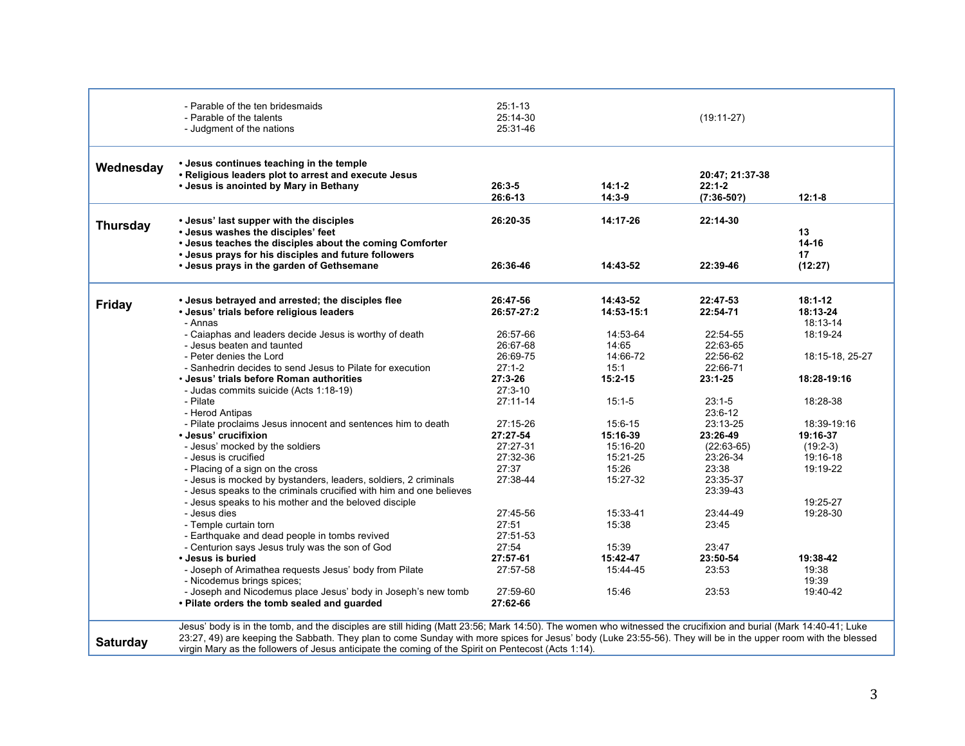|                 | - Parable of the ten bridesmaids<br>- Parable of the talents<br>- Judgment of the nations                                                                                                         | $25:1 - 13$<br>25:14-30<br>25:31-46 |                        | $(19:11-27)$                              |                                     |
|-----------------|---------------------------------------------------------------------------------------------------------------------------------------------------------------------------------------------------|-------------------------------------|------------------------|-------------------------------------------|-------------------------------------|
| Wednesday       | • Jesus continues teaching in the temple<br>• Religious leaders plot to arrest and execute Jesus<br>• Jesus is anointed by Mary in Bethany                                                        | $26:3-5$<br>26:6-13                 | $14:1-2$<br>$14:3-9$   | 20:47; 21:37-38<br>$22:1-2$<br>(7:36-50?) | $12:1 - 8$                          |
| <b>Thursday</b> | • Jesus' last supper with the disciples<br>• Jesus washes the disciples' feet<br>• Jesus teaches the disciples about the coming Comforter<br>• Jesus prays for his disciples and future followers | 26:20-35                            | 14:17-26               | 22:14-30                                  | 13<br>14-16<br>17                   |
|                 | • Jesus prays in the garden of Gethsemane                                                                                                                                                         | 26:36-46                            | 14:43-52               | 22:39-46                                  | (12:27)                             |
| <b>Friday</b>   | • Jesus betrayed and arrested; the disciples flee<br>• Jesus' trials before religious leaders<br>- Annas                                                                                          | 26:47-56<br>26:57-27:2              | 14:43-52<br>14:53-15:1 | 22:47-53<br>22:54-71                      | $18:1 - 12$<br>18:13-24<br>18:13-14 |
|                 | - Caiaphas and leaders decide Jesus is worthy of death<br>- Jesus beaten and taunted                                                                                                              | 26:57-66<br>26:67-68                | 14:53-64<br>14:65      | 22:54-55<br>22:63-65                      | 18:19-24                            |
|                 | - Peter denies the Lord<br>- Sanhedrin decides to send Jesus to Pilate for execution                                                                                                              | 26:69-75<br>$27:1 - 2$              | 14:66-72<br>15:1       | 22:56-62<br>22:66-71                      | 18:15-18, 25-27                     |
|                 | • Jesus' trials before Roman authorities<br>- Judas commits suicide (Acts 1:18-19)                                                                                                                | $27:3 - 26$<br>$27:3 - 10$          | $15:2 - 15$            | $23:1 - 25$                               | 18:28-19:16                         |
|                 | - Pilate<br>- Herod Antipas                                                                                                                                                                       | 27:11-14                            | $15:1 - 5$             | $23:1 - 5$<br>23:6-12                     | 18:28-38                            |
|                 | - Pilate proclaims Jesus innocent and sentences him to death<br>• Jesus' crucifixion                                                                                                              | 27:15-26<br>27:27-54                | 15:6-15<br>15:16-39    | 23:13-25<br>23:26-49                      | 18:39-19:16<br>19:16-37             |
|                 | - Jesus' mocked by the soldiers<br>- Jesus is crucified                                                                                                                                           | 27:27-31<br>27:32-36                | 15:16-20<br>15:21-25   | $(22:63-65)$<br>23:26-34                  | $(19:2-3)$<br>19:16-18              |
|                 | - Placing of a sign on the cross<br>- Jesus is mocked by bystanders, leaders, soldiers, 2 criminals<br>- Jesus speaks to the criminals crucified with him and one believes                        | 27:37<br>27:38-44                   | 15:26<br>15:27-32      | 23:38<br>23:35-37<br>23:39-43             | 19:19-22                            |
|                 | - Jesus speaks to his mother and the beloved disciple<br>- Jesus dies<br>- Temple curtain torn<br>- Earthquake and dead people in tombs revived                                                   | 27:45-56<br>27:51<br>27:51-53       | 15:33-41<br>15:38      | 23:44-49<br>23:45                         | 19:25-27<br>19:28-30                |
|                 | - Centurion says Jesus truly was the son of God<br>• Jesus is buried                                                                                                                              | 27:54<br>27:57-61                   | 15:39<br>15:42-47      | 23:47<br>23:50-54                         | 19:38-42                            |
|                 | - Joseph of Arimathea requests Jesus' body from Pilate<br>- Nicodemus brings spices;                                                                                                              | 27:57-58                            | 15:44-45               | 23:53                                     | 19:38<br>19:39                      |
|                 | - Joseph and Nicodemus place Jesus' body in Joseph's new tomb<br>• Pilate orders the tomb sealed and guarded                                                                                      | 27:59-60<br>27:62-66                | 15:46                  | 23:53                                     | 19:40-42                            |